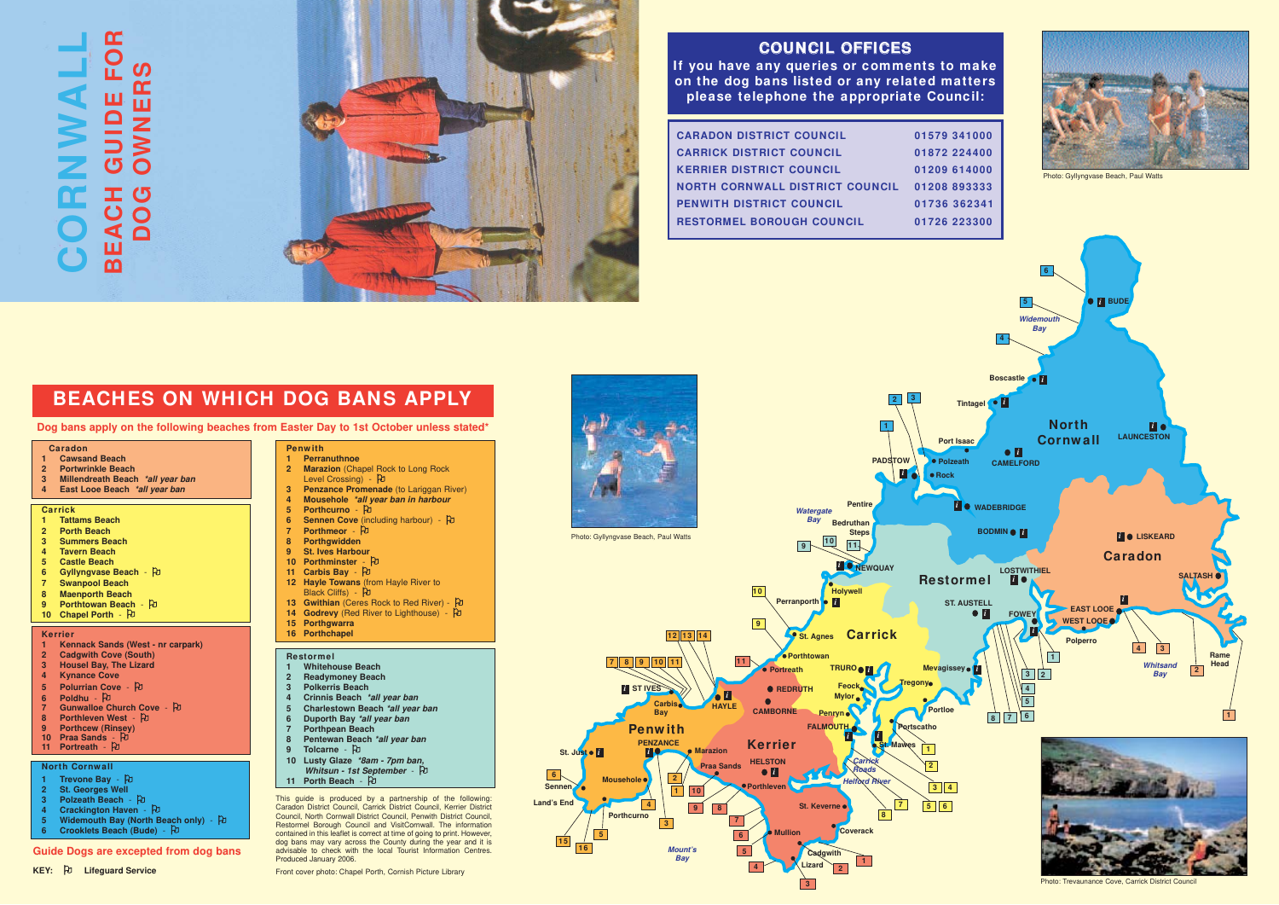**3**

**5**

**3**

**2**

**1**

**1 2**

**3 4 7 5 6**

**8**

**1**

**2 3**

# **BEACHES ON WHICH DOG BANS APPLY**

**Dog bans apply on the following beaches from Easter Day to 1st October unless stated\* North** 

## **COUNCIL OFFICES**

**If you have any queries or comments to make on the dog bans listed or any related matters please telephone the appropriate Council:**

| <b>CARADON DISTRICT COUNCIL</b>  | 01579 341000 |
|----------------------------------|--------------|
| <b>CARRICK DISTRICT COUNCIL</b>  | 01872 224400 |
| <b>KERRIER DISTRICT COUNCIL</b>  | 01209 614000 |
| NORTH CORNWALL DISTRICT COUNCIL  | 01208893333  |
| <b>PENWITH DISTRICT COUNCIL</b>  | 01736 362341 |
| <b>RESTORMEL BOROUGH COUNCIL</b> | 01726 223300 |
|                                  |              |

- **1 Tattams Beach**
- **2 Porth Beach**
- **3 Summers Beach**
- **4 Tavern Beach**
- **5 Castle Beach**
- **6** Gyllyngvase Beach 2
- **7 Swanpool Beach**
- **8 Maenporth Beach**
- **9 Porthtowan Beach D**
- **10 Chapel Porth PD**

**Portloe**

**Portscatho**

- **1 Kennack Sands (West nr carpark)**
- **2 Cadgwith Cove (South)**
- **3 Housel Bay, The Lizard**
- **4 Kynance Cove**
- **5** Polurrian Cove  $\upbeta$
- **6 Poldhu**  2
- **Gunwalloe Church Cove 凡**
- 8 Porthleven West **2**
- **9 Porthcew (Rinsey)**<br>10 Praa Sands <sup>D</sup>
- **11 Portreath P**
- 

#### **North Cornwall**

- **Trevone Bay** PJ
- **25 St. Georges Well**
- **3** Polzeath Beach D
- **4** Crackington Haven D
- **5 Widemouth Bay (North Beach only)** <sup>[1]</sup>
- **6 Crooklets Beach (Bude)** <sup>[1]</sup>

**Rock**

**Coverack**

**Cadgwith Lizard**

**Mullion**



**St. Mawes**

*i*

- 1 **Perranuthnoe**<br>2 **Marazion** (Cha **Marazion** (Chapel Rock to Long Rock Level Crossing) - PJ
- **3** Penzance Promenade (to Lariggan River)
- **4 Mousehole \*all year ban in harbour**<br>5 Porthcurno  <sup>[</sup>ປ
- 
- **6 Sennen Cove** (including harbour) PD
- **7 Porthmeor <sup>D</sup>**
- **8 Porthgwidden**
- **9 St. Ives Harbour 10 Porthminster - 20**
- **11 Carbis Bay** Pu
- **12 Hayle Towans** (from Hayle River to Black Cliffs) - Pd
- **13 Gwithian** (Ceres Rock to Red River) PJ
- **14 Godrevy** (Red River to Lighthouse) PD
- **15 Porthgwarra**
- **16 Porthchapel**

**Mount's Bay**

#### **Caradon**

- **1 Cawsand Beach**
- **2 Portwrinkle Beach**
- **3 Millendreath Beach \*all year ban**
- **4 East Looe Beach \*all year ban**

# **CORNWALL**<br>BEACH GUIDE FOR **BEACH GUIDE FOR DOG OWNERS**



#### **Carrick**

#### **Kerrier**



### **Penw ith**

#### **Restormel**

- **1 Whitehouse Beach**
- **2 Readymoney Beach**
- **3 Polkerris Beach**
- **4 Crinnis Beach \*all year ban**
- **5 Charlestown Beach \*all year ban**
- **6 Duporth Bay \*all year ban**
- **7 Porthpean Beach**
- **8 Pentewan Beach \*all year ban 9** Tolcarne - PD
- **10 Lusty Glaze \*8am 7pm ban,**
- **Whitsun 1st September**  $\hat{P}$ **11 Porth Beach** -  $\overline{P}$
- This guide is produced by a partnership of the following: Caradon District Council, Carrick District Council, Kerrier District Council, North Cornwall District Council, Penwith District Council, Restormel Borough Council and VisitCornwall. The information contained in this leaflet is correct at time of going to print. However, dog bans may vary across the County during the year and it is advisable to check with the local Tourist Information Centres. Produced January 2006.

*i*



Photo: Trevaunance Cove, Carrick District Council

**16 15**

#### **Guide Dogs are excepted from dog bans**